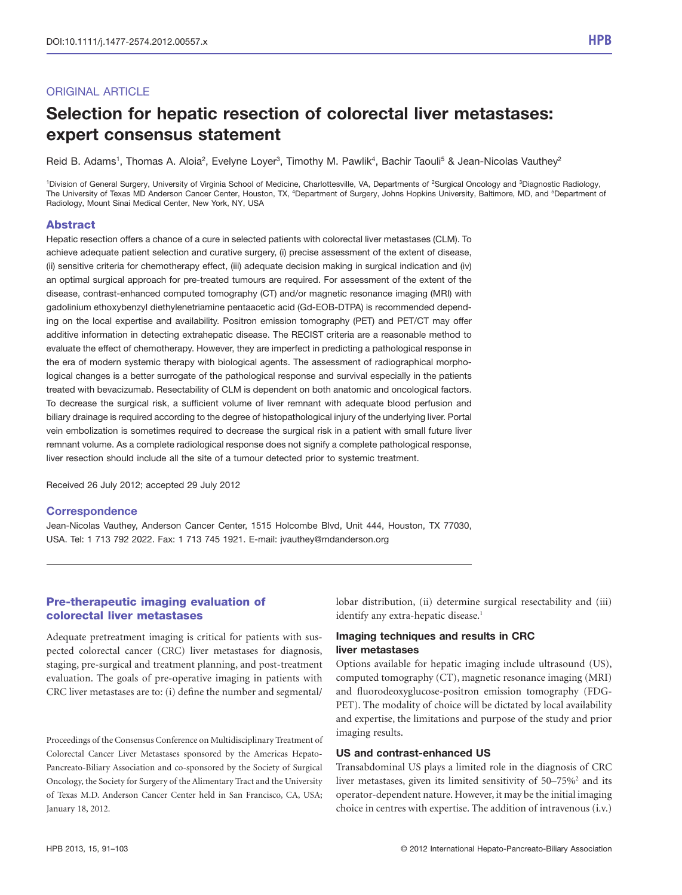# Selection for hepatic resection of colorectal liver metastases: expert consensus statement

Reid B. Adams<sup>1</sup>, Thomas A. Aloia<sup>2</sup>, Evelyne Loyer<sup>3</sup>, Timothy M. Pawlik<sup>4</sup>, Bachir Taouli<sup>5</sup> & Jean-Nicolas Vauthey<sup>2</sup>

<sup>1</sup>Division of General Surgery, University of Virginia School of Medicine, Charlottesville, VA, Departments of <sup>2</sup>Surgical Oncology and <sup>3</sup>Diagnostic Radiology, The University of Texas MD Anderson Cancer Center, Houston, TX, <sup>4</sup>Department of Surgery, Johns Hopkins University, Baltimore, MD, and <sup>5</sup>Department of Radiology, Mount Sinai Medical Center, New York, NY, USA

#### Abstract

Hepatic resection offers a chance of a cure in selected patients with colorectal liver metastases (CLM). To achieve adequate patient selection and curative surgery, (i) precise assessment of the extent of disease, (ii) sensitive criteria for chemotherapy effect, (iii) adequate decision making in surgical indication and (iv) an optimal surgical approach for pre-treated tumours are required. For assessment of the extent of the disease, contrast-enhanced computed tomography (CT) and/or magnetic resonance imaging (MRI) with gadolinium ethoxybenzyl diethylenetriamine pentaacetic acid (Gd-EOB-DTPA) is recommended depending on the local expertise and availability. Positron emission tomography (PET) and PET/CT may offer additive information in detecting extrahepatic disease. The RECIST criteria are a reasonable method to evaluate the effect of chemotherapy. However, they are imperfect in predicting a pathological response in the era of modern systemic therapy with biological agents. The assessment of radiographical morphological changes is a better surrogate of the pathological response and survival especially in the patients treated with bevacizumab. Resectability of CLM is dependent on both anatomic and oncological factors. To decrease the surgical risk, a sufficient volume of liver remnant with adequate blood perfusion and biliary drainage is required according to the degree of histopathological injury of the underlying liver. Portal vein embolization is sometimes required to decrease the surgical risk in a patient with small future liver remnant volume. As a complete radiological response does not signify a complete pathological response, liver resection should include all the site of a tumour detected prior to systemic treatment.

Received 26 July 2012; accepted 29 July 2012

#### **Correspondence**

Jean-Nicolas Vauthey, Anderson Cancer Center, 1515 Holcombe Blvd, Unit 444, Houston, TX 77030, USA. Tel: 1 713 792 2022. Fax: 1 713 745 1921. E-mail: jvauthey@mdanderson.org

# Pre-therapeutic imaging evaluation of colorectal liver metastases

Adequate pretreatment imaging is critical for patients with suspected colorectal cancer (CRC) liver metastases for diagnosis, staging, pre-surgical and treatment planning, and post-treatment evaluation. The goals of pre-operative imaging in patients with CRC liver metastases are to: (i) define the number and segmental/

Proceedings of the Consensus Conference on Multidisciplinary Treatment of Colorectal Cancer Liver Metastases sponsored by the Americas Hepato-Pancreato-Biliary Association and co-sponsored by the Society of Surgical Oncology, the Society for Surgery of the Alimentary Tract and the University of Texas M.D. Anderson Cancer Center held in San Francisco, CA, USA; January 18, 2012.

lobar distribution, (ii) determine surgical resectability and (iii) identify any extra-hepatic disease.<sup>1</sup>

## Imaging techniques and results in CRC liver metastases

Options available for hepatic imaging include ultrasound (US), computed tomography (CT), magnetic resonance imaging (MRI) and fluorodeoxyglucose-positron emission tomography (FDG-PET). The modality of choice will be dictated by local availability and expertise, the limitations and purpose of the study and prior imaging results.

## US and contrast-enhanced US

Transabdominal US plays a limited role in the diagnosis of CRC liver metastases, given its limited sensitivity of  $50-75\%^2$  and its operator-dependent nature. However, it may be the initial imaging choice in centres with expertise. The addition of intravenous (i.v.)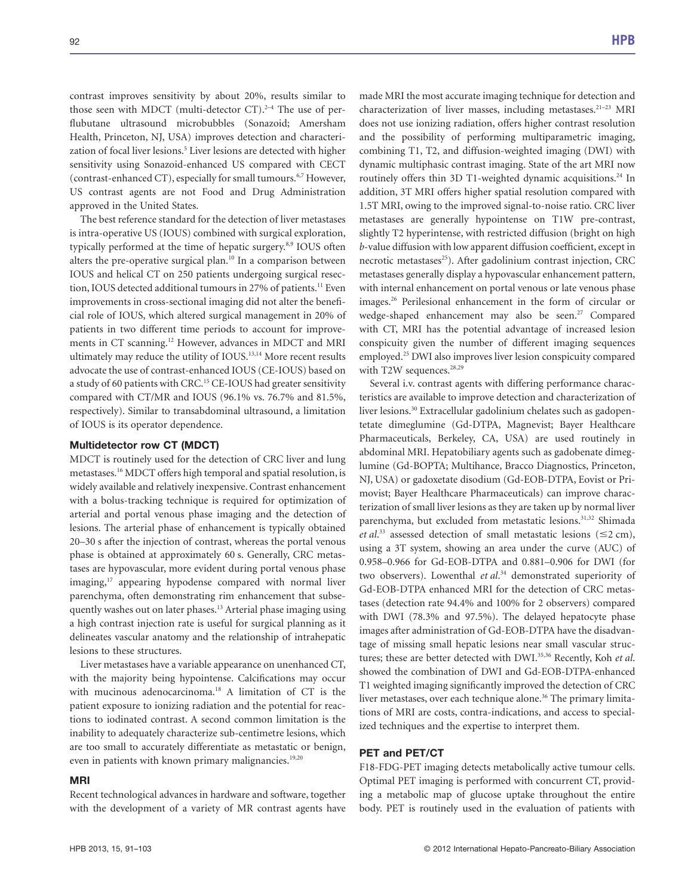contrast improves sensitivity by about 20%, results similar to those seen with MDCT (multi-detector CT).<sup>2-4</sup> The use of perflubutane ultrasound microbubbles (Sonazoid; Amersham Health, Princeton, NJ, USA) improves detection and characterization of focal liver lesions.<sup>5</sup> Liver lesions are detected with higher sensitivity using Sonazoid-enhanced US compared with CECT (contrast-enhanced CT), especially for small tumours.<sup>6,7</sup> However, US contrast agents are not Food and Drug Administration approved in the United States.

The best reference standard for the detection of liver metastases is intra-operative US (IOUS) combined with surgical exploration, typically performed at the time of hepatic surgery.<sup>8,9</sup> IOUS often alters the pre-operative surgical plan.<sup>10</sup> In a comparison between IOUS and helical CT on 250 patients undergoing surgical resection, IOUS detected additional tumours in 27% of patients.<sup>11</sup> Even improvements in cross-sectional imaging did not alter the beneficial role of IOUS, which altered surgical management in 20% of patients in two different time periods to account for improvements in CT scanning.<sup>12</sup> However, advances in MDCT and MRI ultimately may reduce the utility of IOUS.13,14 More recent results advocate the use of contrast-enhanced IOUS (CE-IOUS) based on a study of 60 patients with CRC.<sup>15</sup> CE-IOUS had greater sensitivity compared with CT/MR and IOUS (96.1% vs. 76.7% and 81.5%, respectively). Similar to transabdominal ultrasound, a limitation of IOUS is its operator dependence.

## Multidetector row CT (MDCT)

MDCT is routinely used for the detection of CRC liver and lung metastases.16 MDCT offers high temporal and spatial resolution, is widely available and relatively inexpensive. Contrast enhancement with a bolus-tracking technique is required for optimization of arterial and portal venous phase imaging and the detection of lesions. The arterial phase of enhancement is typically obtained 20–30 s after the injection of contrast, whereas the portal venous phase is obtained at approximately 60 s. Generally, CRC metastases are hypovascular, more evident during portal venous phase imaging,<sup>17</sup> appearing hypodense compared with normal liver parenchyma, often demonstrating rim enhancement that subsequently washes out on later phases.<sup>13</sup> Arterial phase imaging using a high contrast injection rate is useful for surgical planning as it delineates vascular anatomy and the relationship of intrahepatic lesions to these structures.

Liver metastases have a variable appearance on unenhanced CT, with the majority being hypointense. Calcifications may occur with mucinous adenocarcinoma.<sup>18</sup> A limitation of CT is the patient exposure to ionizing radiation and the potential for reactions to iodinated contrast. A second common limitation is the inability to adequately characterize sub-centimetre lesions, which are too small to accurately differentiate as metastatic or benign, even in patients with known primary malignancies.<sup>19,20</sup>

#### MRI

Recent technological advances in hardware and software, together with the development of a variety of MR contrast agents have made MRI the most accurate imaging technique for detection and characterization of liver masses, including metastases.<sup>21-23</sup> MRI does not use ionizing radiation, offers higher contrast resolution and the possibility of performing multiparametric imaging, combining T1, T2, and diffusion-weighted imaging (DWI) with dynamic multiphasic contrast imaging. State of the art MRI now routinely offers thin 3D T1-weighted dynamic acquisitions.<sup>24</sup> In addition, 3T MRI offers higher spatial resolution compared with 1.5T MRI, owing to the improved signal-to-noise ratio. CRC liver metastases are generally hypointense on T1W pre-contrast, slightly T2 hyperintense, with restricted diffusion (bright on high *b*-value diffusion with low apparent diffusion coefficient, except in necrotic metastases<sup>25</sup>). After gadolinium contrast injection, CRC metastases generally display a hypovascular enhancement pattern, with internal enhancement on portal venous or late venous phase images.26 Perilesional enhancement in the form of circular or wedge-shaped enhancement may also be seen.<sup>27</sup> Compared with CT, MRI has the potential advantage of increased lesion conspicuity given the number of different imaging sequences employed.25 DWI also improves liver lesion conspicuity compared with T2W sequences.<sup>28,29</sup>

Several i.v. contrast agents with differing performance characteristics are available to improve detection and characterization of liver lesions.<sup>30</sup> Extracellular gadolinium chelates such as gadopentetate dimeglumine (Gd-DTPA, Magnevist; Bayer Healthcare Pharmaceuticals, Berkeley, CA, USA) are used routinely in abdominal MRI. Hepatobiliary agents such as gadobenate dimeglumine (Gd-BOPTA; Multihance, Bracco Diagnostics, Princeton, NJ, USA) or gadoxetate disodium (Gd-EOB-DTPA, Eovist or Primovist; Bayer Healthcare Pharmaceuticals) can improve characterization of small liver lesions as they are taken up by normal liver parenchyma, but excluded from metastatic lesions.<sup>31,32</sup> Shimada *et al.*<sup>33</sup> assessed detection of small metastatic lesions ( $\leq$ 2 cm), using a 3T system, showing an area under the curve (AUC) of 0.958–0.966 for Gd-EOB-DTPA and 0.881–0.906 for DWI (for two observers). Lowenthal *et al*. <sup>34</sup> demonstrated superiority of Gd-EOB-DTPA enhanced MRI for the detection of CRC metastases (detection rate 94.4% and 100% for 2 observers) compared with DWI (78.3% and 97.5%). The delayed hepatocyte phase images after administration of Gd-EOB-DTPA have the disadvantage of missing small hepatic lesions near small vascular structures; these are better detected with DWI.35,36 Recently, Koh *et al*. showed the combination of DWI and Gd-EOB-DTPA-enhanced T1 weighted imaging significantly improved the detection of CRC liver metastases, over each technique alone.<sup>36</sup> The primary limitations of MRI are costs, contra-indications, and access to specialized techniques and the expertise to interpret them.

## PET and PET/CT

F18-FDG-PET imaging detects metabolically active tumour cells. Optimal PET imaging is performed with concurrent CT, providing a metabolic map of glucose uptake throughout the entire body. PET is routinely used in the evaluation of patients with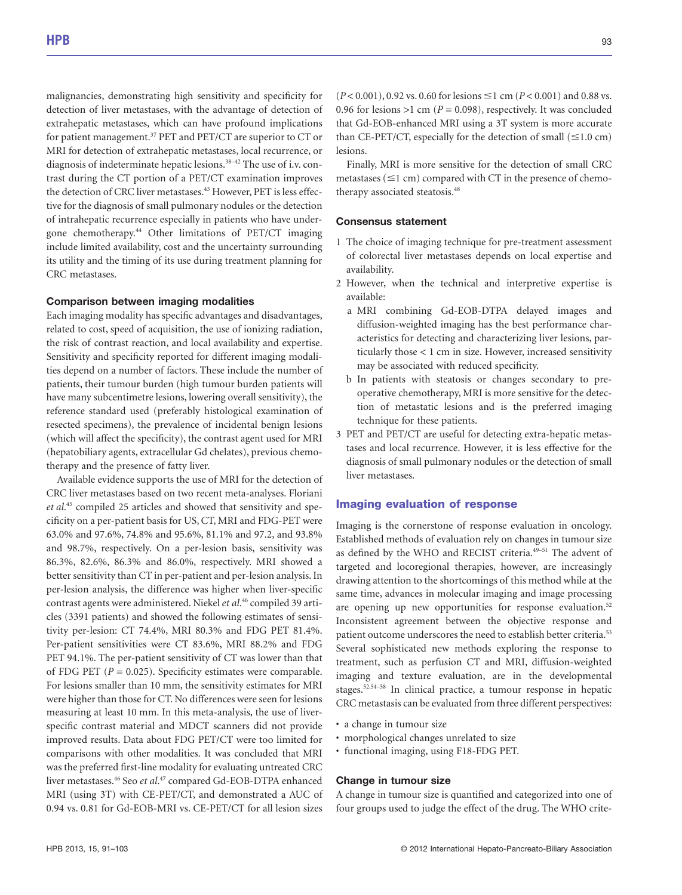malignancies, demonstrating high sensitivity and specificity for detection of liver metastases, with the advantage of detection of extrahepatic metastases, which can have profound implications for patient management.37 PET and PET/CT are superior to CT or MRI for detection of extrahepatic metastases, local recurrence, or diagnosis of indeterminate hepatic lesions.38–42 The use of i.v. contrast during the CT portion of a PET/CT examination improves the detection of CRC liver metastases.<sup>43</sup> However, PET is less effective for the diagnosis of small pulmonary nodules or the detection of intrahepatic recurrence especially in patients who have undergone chemotherapy.44 Other limitations of PET/CT imaging include limited availability, cost and the uncertainty surrounding its utility and the timing of its use during treatment planning for CRC metastases.

#### Comparison between imaging modalities

Each imaging modality has specific advantages and disadvantages, related to cost, speed of acquisition, the use of ionizing radiation, the risk of contrast reaction, and local availability and expertise. Sensitivity and specificity reported for different imaging modalities depend on a number of factors. These include the number of patients, their tumour burden (high tumour burden patients will have many subcentimetre lesions, lowering overall sensitivity), the reference standard used (preferably histological examination of resected specimens), the prevalence of incidental benign lesions (which will affect the specificity), the contrast agent used for MRI (hepatobiliary agents, extracellular Gd chelates), previous chemotherapy and the presence of fatty liver.

Available evidence supports the use of MRI for the detection of CRC liver metastases based on two recent meta-analyses. Floriani *et al*. <sup>45</sup> compiled 25 articles and showed that sensitivity and specificity on a per-patient basis for US, CT, MRI and FDG-PET were 63.0% and 97.6%, 74.8% and 95.6%, 81.1% and 97.2, and 93.8% and 98.7%, respectively. On a per-lesion basis, sensitivity was 86.3%, 82.6%, 86.3% and 86.0%, respectively. MRI showed a better sensitivity than CT in per-patient and per-lesion analysis. In per-lesion analysis, the difference was higher when liver-specific contrast agents were administered. Niekel *et al*. <sup>46</sup> compiled 39 articles (3391 patients) and showed the following estimates of sensitivity per-lesion: CT 74.4%, MRI 80.3% and FDG PET 81.4%. Per-patient sensitivities were CT 83.6%, MRI 88.2% and FDG PET 94.1%. The per-patient sensitivity of CT was lower than that of FDG PET  $(P = 0.025)$ . Specificity estimates were comparable. For lesions smaller than 10 mm, the sensitivity estimates for MRI were higher than those for CT. No differences were seen for lesions measuring at least 10 mm. In this meta-analysis, the use of liverspecific contrast material and MDCT scanners did not provide improved results. Data about FDG PET/CT were too limited for comparisons with other modalities. It was concluded that MRI was the preferred first-line modality for evaluating untreated CRC liver metastases.46 Seo *et al*. <sup>47</sup> compared Gd-EOB-DTPA enhanced MRI (using 3T) with CE-PET/CT, and demonstrated a AUC of 0.94 vs. 0.81 for Gd-EOB-MRI vs. CE-PET/CT for all lesion sizes

 $(P<0.001)$ , 0.92 vs. 0.60 for lesions  $\leq 1$  cm  $(P<0.001)$  and 0.88 vs. 0.96 for lesions  $>1$  cm ( $P = 0.098$ ), respectively. It was concluded that Gd-EOB-enhanced MRI using a 3T system is more accurate than CE-PET/CT, especially for the detection of small  $(\leq 1.0 \text{ cm})$ lesions.

Finally, MRI is more sensitive for the detection of small CRC metastases  $(\leq 1$  cm) compared with CT in the presence of chemotherapy associated steatosis.<sup>48</sup>

#### Consensus statement

- 1 The choice of imaging technique for pre-treatment assessment of colorectal liver metastases depends on local expertise and availability.
- 2 However, when the technical and interpretive expertise is available:
	- a MRI combining Gd-EOB-DTPA delayed images and diffusion-weighted imaging has the best performance characteristics for detecting and characterizing liver lesions, particularly those < 1 cm in size. However, increased sensitivity may be associated with reduced specificity.
	- b In patients with steatosis or changes secondary to preoperative chemotherapy, MRI is more sensitive for the detection of metastatic lesions and is the preferred imaging technique for these patients.
- 3 PET and PET/CT are useful for detecting extra-hepatic metastases and local recurrence. However, it is less effective for the diagnosis of small pulmonary nodules or the detection of small liver metastases.

### Imaging evaluation of response

Imaging is the cornerstone of response evaluation in oncology. Established methods of evaluation rely on changes in tumour size as defined by the WHO and RECIST criteria.<sup>49-51</sup> The advent of targeted and locoregional therapies, however, are increasingly drawing attention to the shortcomings of this method while at the same time, advances in molecular imaging and image processing are opening up new opportunities for response evaluation.<sup>52</sup> Inconsistent agreement between the objective response and patient outcome underscores the need to establish better criteria.<sup>53</sup> Several sophisticated new methods exploring the response to treatment, such as perfusion CT and MRI, diffusion-weighted imaging and texture evaluation, are in the developmental stages.52,54–58 In clinical practice, a tumour response in hepatic CRC metastasis can be evaluated from three different perspectives:

- a change in tumour size
- morphological changes unrelated to size
- functional imaging, using F18-FDG PET.

#### Change in tumour size

A change in tumour size is quantified and categorized into one of four groups used to judge the effect of the drug. The WHO crite-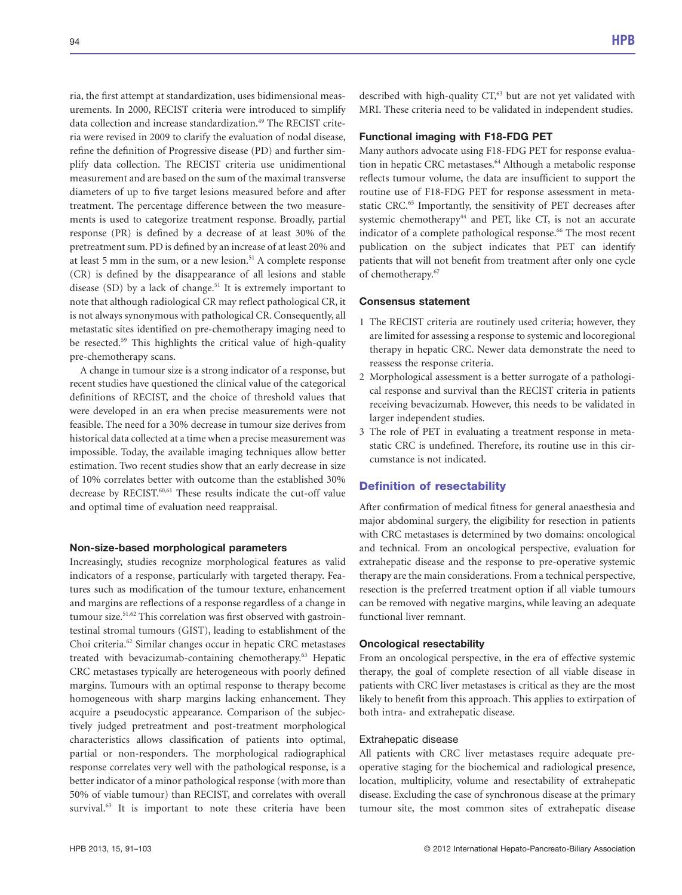ria, the first attempt at standardization, uses bidimensional measurements. In 2000, RECIST criteria were introduced to simplify data collection and increase standardization.<sup>49</sup> The RECIST criteria were revised in 2009 to clarify the evaluation of nodal disease, refine the definition of Progressive disease (PD) and further simplify data collection. The RECIST criteria use unidimentional measurement and are based on the sum of the maximal transverse diameters of up to five target lesions measured before and after treatment. The percentage difference between the two measurements is used to categorize treatment response. Broadly, partial response (PR) is defined by a decrease of at least 30% of the pretreatment sum. PD is defined by an increase of at least 20% and at least 5 mm in the sum, or a new lesion.<sup>51</sup> A complete response (CR) is defined by the disappearance of all lesions and stable disease (SD) by a lack of change.<sup>51</sup> It is extremely important to note that although radiological CR may reflect pathological CR, it is not always synonymous with pathological CR. Consequently, all metastatic sites identified on pre-chemotherapy imaging need to be resected.59 This highlights the critical value of high-quality pre-chemotherapy scans.

A change in tumour size is a strong indicator of a response, but recent studies have questioned the clinical value of the categorical definitions of RECIST, and the choice of threshold values that were developed in an era when precise measurements were not feasible. The need for a 30% decrease in tumour size derives from historical data collected at a time when a precise measurement was impossible. Today, the available imaging techniques allow better estimation. Two recent studies show that an early decrease in size of 10% correlates better with outcome than the established 30% decrease by RECIST.<sup>60,61</sup> These results indicate the cut-off value and optimal time of evaluation need reappraisal.

#### Non-size-based morphological parameters

Increasingly, studies recognize morphological features as valid indicators of a response, particularly with targeted therapy. Features such as modification of the tumour texture, enhancement and margins are reflections of a response regardless of a change in tumour size.<sup>51,62</sup> This correlation was first observed with gastrointestinal stromal tumours (GIST), leading to establishment of the Choi criteria.62 Similar changes occur in hepatic CRC metastases treated with bevacizumab-containing chemotherapy.<sup>63</sup> Hepatic CRC metastases typically are heterogeneous with poorly defined margins. Tumours with an optimal response to therapy become homogeneous with sharp margins lacking enhancement. They acquire a pseudocystic appearance. Comparison of the subjectively judged pretreatment and post-treatment morphological characteristics allows classification of patients into optimal, partial or non-responders. The morphological radiographical response correlates very well with the pathological response, is a better indicator of a minor pathological response (with more than 50% of viable tumour) than RECIST, and correlates with overall survival.<sup>63</sup> It is important to note these criteria have been

described with high-quality CT,<sup>63</sup> but are not yet validated with MRI. These criteria need to be validated in independent studies.

## Functional imaging with F18-FDG PET

Many authors advocate using F18-FDG PET for response evaluation in hepatic CRC metastases.<sup>64</sup> Although a metabolic response reflects tumour volume, the data are insufficient to support the routine use of F18-FDG PET for response assessment in metastatic CRC.<sup>65</sup> Importantly, the sensitivity of PET decreases after systemic chemotherapy<sup>44</sup> and PET, like CT, is not an accurate indicator of a complete pathological response.<sup>66</sup> The most recent publication on the subject indicates that PET can identify patients that will not benefit from treatment after only one cycle of chemotherapy.<sup>67</sup>

## Consensus statement

- 1 The RECIST criteria are routinely used criteria; however, they are limited for assessing a response to systemic and locoregional therapy in hepatic CRC. Newer data demonstrate the need to reassess the response criteria.
- 2 Morphological assessment is a better surrogate of a pathological response and survival than the RECIST criteria in patients receiving bevacizumab. However, this needs to be validated in larger independent studies.
- 3 The role of PET in evaluating a treatment response in metastatic CRC is undefined. Therefore, its routine use in this circumstance is not indicated.

## Definition of resectability

After confirmation of medical fitness for general anaesthesia and major abdominal surgery, the eligibility for resection in patients with CRC metastases is determined by two domains: oncological and technical. From an oncological perspective, evaluation for extrahepatic disease and the response to pre-operative systemic therapy are the main considerations. From a technical perspective, resection is the preferred treatment option if all viable tumours can be removed with negative margins, while leaving an adequate functional liver remnant.

## Oncological resectability

From an oncological perspective, in the era of effective systemic therapy, the goal of complete resection of all viable disease in patients with CRC liver metastases is critical as they are the most likely to benefit from this approach. This applies to extirpation of both intra- and extrahepatic disease.

## Extrahepatic disease

All patients with CRC liver metastases require adequate preoperative staging for the biochemical and radiological presence, location, multiplicity, volume and resectability of extrahepatic disease. Excluding the case of synchronous disease at the primary tumour site, the most common sites of extrahepatic disease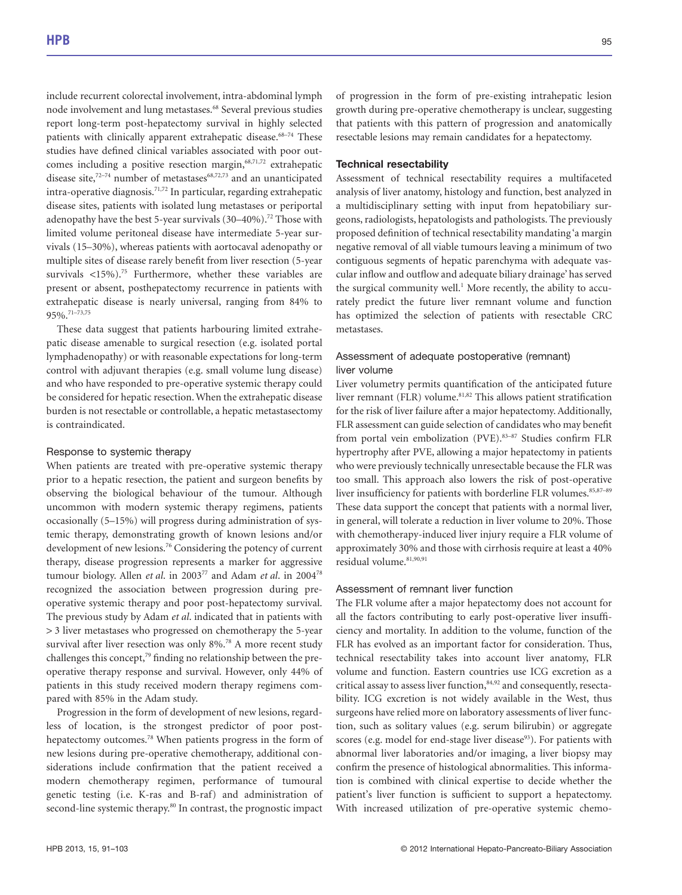include recurrent colorectal involvement, intra-abdominal lymph node involvement and lung metastases.<sup>68</sup> Several previous studies report long-term post-hepatectomy survival in highly selected patients with clinically apparent extrahepatic disease.<sup>68-74</sup> These studies have defined clinical variables associated with poor outcomes including a positive resection margin,<sup>68,71,72</sup> extrahepatic disease site, $72-74$  number of metastases $68,72,73$  and an unanticipated intra-operative diagnosis.71,72 In particular, regarding extrahepatic disease sites, patients with isolated lung metastases or periportal adenopathy have the best 5-year survivals  $(30-40\%)$ .<sup>72</sup> Those with limited volume peritoneal disease have intermediate 5-year survivals (15–30%), whereas patients with aortocaval adenopathy or multiple sites of disease rarely benefit from liver resection (5-year survivals  $\langle 15\% \rangle$ .<sup>75</sup> Furthermore, whether these variables are present or absent, posthepatectomy recurrence in patients with extrahepatic disease is nearly universal, ranging from 84% to 95%.71–73,75

These data suggest that patients harbouring limited extrahepatic disease amenable to surgical resection (e.g. isolated portal lymphadenopathy) or with reasonable expectations for long-term control with adjuvant therapies (e.g. small volume lung disease) and who have responded to pre-operative systemic therapy could be considered for hepatic resection.When the extrahepatic disease burden is not resectable or controllable, a hepatic metastasectomy is contraindicated.

## Response to systemic therapy

When patients are treated with pre-operative systemic therapy prior to a hepatic resection, the patient and surgeon benefits by observing the biological behaviour of the tumour. Although uncommon with modern systemic therapy regimens, patients occasionally (5–15%) will progress during administration of systemic therapy, demonstrating growth of known lesions and/or development of new lesions.76 Considering the potency of current therapy, disease progression represents a marker for aggressive tumour biology. Allen *et al.* in 2003<sup>77</sup> and Adam *et al.* in 2004<sup>78</sup> recognized the association between progression during preoperative systemic therapy and poor post-hepatectomy survival. The previous study by Adam *et al*. indicated that in patients with > 3 liver metastases who progressed on chemotherapy the 5-year survival after liver resection was only 8%.78 A more recent study challenges this concept,<sup>79</sup> finding no relationship between the preoperative therapy response and survival. However, only 44% of patients in this study received modern therapy regimens compared with 85% in the Adam study.

Progression in the form of development of new lesions, regardless of location, is the strongest predictor of poor posthepatectomy outcomes.78 When patients progress in the form of new lesions during pre-operative chemotherapy, additional considerations include confirmation that the patient received a modern chemotherapy regimen, performance of tumoural genetic testing (i.e. K-ras and B-raf) and administration of second-line systemic therapy.<sup>80</sup> In contrast, the prognostic impact of progression in the form of pre-existing intrahepatic lesion growth during pre-operative chemotherapy is unclear, suggesting that patients with this pattern of progression and anatomically resectable lesions may remain candidates for a hepatectomy.

## Technical resectability

Assessment of technical resectability requires a multifaceted analysis of liver anatomy, histology and function, best analyzed in a multidisciplinary setting with input from hepatobiliary surgeons, radiologists, hepatologists and pathologists. The previously proposed definition of technical resectability mandating 'a margin negative removal of all viable tumours leaving a minimum of two contiguous segments of hepatic parenchyma with adequate vascular inflow and outflow and adequate biliary drainage' has served the surgical community well.<sup>1</sup> More recently, the ability to accurately predict the future liver remnant volume and function has optimized the selection of patients with resectable CRC metastases.

## Assessment of adequate postoperative (remnant) liver volume

Liver volumetry permits quantification of the anticipated future liver remnant (FLR) volume.<sup>81,82</sup> This allows patient stratification for the risk of liver failure after a major hepatectomy. Additionally, FLR assessment can guide selection of candidates who may benefit from portal vein embolization (PVE).<sup>83-87</sup> Studies confirm FLR hypertrophy after PVE, allowing a major hepatectomy in patients who were previously technically unresectable because the FLR was too small. This approach also lowers the risk of post-operative liver insufficiency for patients with borderline FLR volumes.<sup>85,87-89</sup> These data support the concept that patients with a normal liver, in general, will tolerate a reduction in liver volume to 20%. Those with chemotherapy-induced liver injury require a FLR volume of approximately 30% and those with cirrhosis require at least a 40% residual volume.81,90,91

## Assessment of remnant liver function

The FLR volume after a major hepatectomy does not account for all the factors contributing to early post-operative liver insufficiency and mortality. In addition to the volume, function of the FLR has evolved as an important factor for consideration. Thus, technical resectability takes into account liver anatomy, FLR volume and function. Eastern countries use ICG excretion as a critical assay to assess liver function,  $84,92$  and consequently, resectability. ICG excretion is not widely available in the West, thus surgeons have relied more on laboratory assessments of liver function, such as solitary values (e.g. serum bilirubin) or aggregate scores (e.g. model for end-stage liver disease<sup>93</sup>). For patients with abnormal liver laboratories and/or imaging, a liver biopsy may confirm the presence of histological abnormalities. This information is combined with clinical expertise to decide whether the patient's liver function is sufficient to support a hepatectomy. With increased utilization of pre-operative systemic chemo-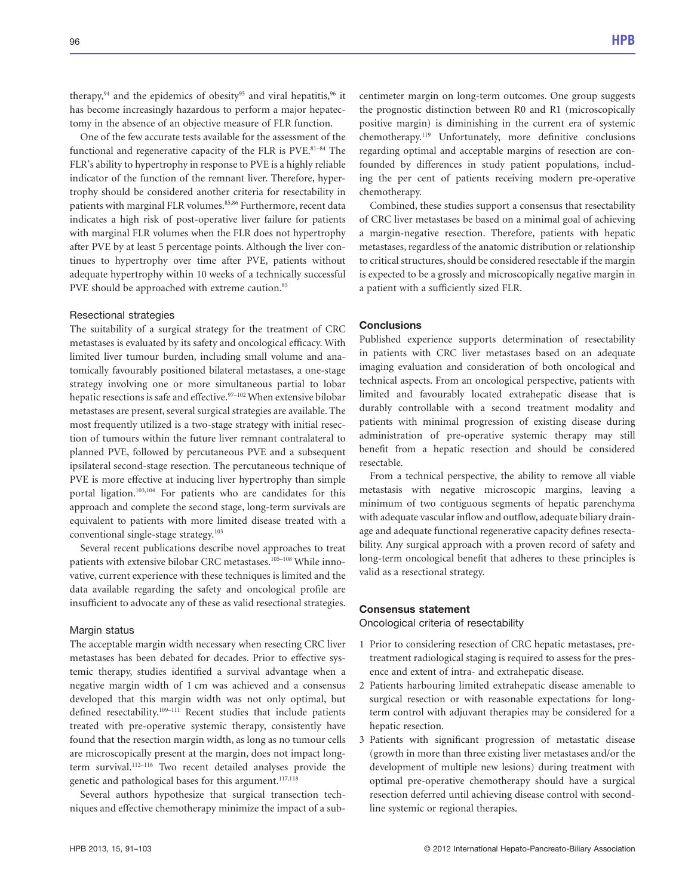therapy, $94$  and the epidemics of obesity $95$  and viral hepatitis,  $96$  it has become increasingly hazardous to perform a major hepatectomy in the absence of an objective measure of FLR function.

One of the few accurate tests available for the assessment of the functional and regenerative capacity of the FLR is PVE.<sup>81-84</sup> The FLR's ability to hypertrophy in response to PVE is a highly reliable indicator of the function of the remnant liver. Therefore, hypertrophy should be considered another criteria for resectability in patients with marginal FLR volumes.<sup>85,86</sup> Furthermore, recent data indicates a high risk of post-operative liver failure for patients with marginal FLR volumes when the FLR does not hypertrophy after PVE by at least 5 percentage points. Although the liver continues to hypertrophy over time after PVE, patients without adequate hypertrophy within 10 weeks of a technically successful PVE should be approached with extreme caution.<sup>85</sup>

#### Resectional strategies

The suitability of a surgical strategy for the treatment of CRC metastases is evaluated by its safety and oncological efficacy. With limited liver tumour burden, including small volume and anatomically favourably positioned bilateral metastases, a one-stage strategy involving one or more simultaneous partial to lobar hepatic resections is safe and effective.<sup>97-102</sup> When extensive bilobar metastases are present, several surgical strategies are available. The most frequently utilized is a two-stage strategy with initial resection of tumours within the future liver remnant contralateral to planned PVE, followed by percutaneous PVE and a subsequent ipsilateral second-stage resection. The percutaneous technique of PVE is more effective at inducing liver hypertrophy than simple portal ligation.103,104 For patients who are candidates for this approach and complete the second stage, long-term survivals are equivalent to patients with more limited disease treated with a conventional single-stage strategy.<sup>103</sup>

Several recent publications describe novel approaches to treat patients with extensive bilobar CRC metastases.<sup>105-108</sup> While innovative, current experience with these techniques is limited and the data available regarding the safety and oncological profile are insufficient to advocate any of these as valid resectional strategies.

## Margin status

The acceptable margin width necessary when resecting CRC liver metastases has been debated for decades. Prior to effective systemic therapy, studies identified a survival advantage when a negative margin width of 1 cm was achieved and a consensus developed that this margin width was not only optimal, but defined resectability.<sup>109–111</sup> Recent studies that include patients treated with pre-operative systemic therapy, consistently have found that the resection margin width, as long as no tumour cells are microscopically present at the margin, does not impact longterm survival.<sup>112-116</sup> Two recent detailed analyses provide the genetic and pathological bases for this argument.<sup>117,118</sup>

Several authors hypothesize that surgical transection techniques and effective chemotherapy minimize the impact of a subcentimeter margin on long-term outcomes. One group suggests the prognostic distinction between R0 and R1 (microscopically positive margin) is diminishing in the current era of systemic chemotherapy.119 Unfortunately, more definitive conclusions regarding optimal and acceptable margins of resection are confounded by differences in study patient populations, including the per cent of patients receiving modern pre-operative chemotherapy.

Combined, these studies support a consensus that resectability of CRC liver metastases be based on a minimal goal of achieving a margin-negative resection. Therefore, patients with hepatic metastases, regardless of the anatomic distribution or relationship to critical structures, should be considered resectable if the margin is expected to be a grossly and microscopically negative margin in a patient with a sufficiently sized FLR.

## **Conclusions**

Published experience supports determination of resectability in patients with CRC liver metastases based on an adequate imaging evaluation and consideration of both oncological and technical aspects. From an oncological perspective, patients with limited and favourably located extrahepatic disease that is durably controllable with a second treatment modality and patients with minimal progression of existing disease during administration of pre-operative systemic therapy may still benefit from a hepatic resection and should be considered resectable.

From a technical perspective, the ability to remove all viable metastasis with negative microscopic margins, leaving a minimum of two contiguous segments of hepatic parenchyma with adequate vascular inflow and outflow, adequate biliary drainage and adequate functional regenerative capacity defines resectability. Any surgical approach with a proven record of safety and long-term oncological benefit that adheres to these principles is valid as a resectional strategy.

#### Consensus statement

Oncological criteria of resectability

- 1 Prior to considering resection of CRC hepatic metastases, pretreatment radiological staging is required to assess for the presence and extent of intra- and extrahepatic disease.
- 2 Patients harbouring limited extrahepatic disease amenable to surgical resection or with reasonable expectations for longterm control with adjuvant therapies may be considered for a hepatic resection.
- Patients with significant progression of metastatic disease (growth in more than three existing liver metastases and/or the development of multiple new lesions) during treatment with optimal pre-operative chemotherapy should have a surgical resection deferred until achieving disease control with secondline systemic or regional therapies.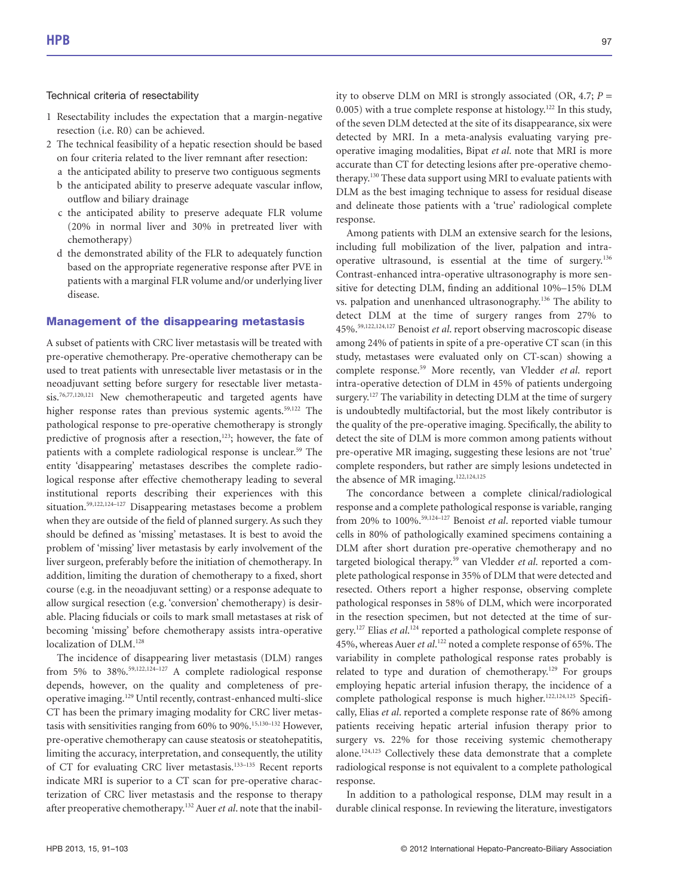#### Technical criteria of resectability

- 1 Resectability includes the expectation that a margin-negative resection (i.e. R0) can be achieved.
- 2 The technical feasibility of a hepatic resection should be based on four criteria related to the liver remnant after resection:
	- a the anticipated ability to preserve two contiguous segments
	- b the anticipated ability to preserve adequate vascular inflow, outflow and biliary drainage
	- c the anticipated ability to preserve adequate FLR volume (20% in normal liver and 30% in pretreated liver with chemotherapy)
	- d the demonstrated ability of the FLR to adequately function based on the appropriate regenerative response after PVE in patients with a marginal FLR volume and/or underlying liver disease.

## Management of the disappearing metastasis

A subset of patients with CRC liver metastasis will be treated with pre-operative chemotherapy. Pre-operative chemotherapy can be used to treat patients with unresectable liver metastasis or in the neoadjuvant setting before surgery for resectable liver metastasis.76,77,120,121 New chemotherapeutic and targeted agents have higher response rates than previous systemic agents.<sup>59,122</sup> The pathological response to pre-operative chemotherapy is strongly predictive of prognosis after a resection, $123$ ; however, the fate of patients with a complete radiological response is unclear.<sup>59</sup> The entity 'disappearing' metastases describes the complete radiological response after effective chemotherapy leading to several institutional reports describing their experiences with this situation.59,122,124–127 Disappearing metastases become a problem when they are outside of the field of planned surgery. As such they should be defined as 'missing' metastases. It is best to avoid the problem of 'missing' liver metastasis by early involvement of the liver surgeon, preferably before the initiation of chemotherapy. In addition, limiting the duration of chemotherapy to a fixed, short course (e.g. in the neoadjuvant setting) or a response adequate to allow surgical resection (e.g. 'conversion' chemotherapy) is desirable. Placing fiducials or coils to mark small metastases at risk of becoming 'missing' before chemotherapy assists intra-operative localization of DLM.<sup>128</sup>

The incidence of disappearing liver metastasis (DLM) ranges from 5% to 38%. $59,122,124-127$  A complete radiological response depends, however, on the quality and completeness of preoperative imaging.129 Until recently, contrast-enhanced multi-slice CT has been the primary imaging modality for CRC liver metastasis with sensitivities ranging from 60% to 90%.15,130–132 However, pre-operative chemotherapy can cause steatosis or steatohepatitis, limiting the accuracy, interpretation, and consequently, the utility of CT for evaluating CRC liver metastasis.133–135 Recent reports indicate MRI is superior to a CT scan for pre-operative characterization of CRC liver metastasis and the response to therapy after preoperative chemotherapy.132 Auer*et al*. note that the inability to observe DLM on MRI is strongly associated (OR,  $4.7; P =$  $0.005$ ) with a true complete response at histology.<sup>122</sup> In this study, of the seven DLM detected at the site of its disappearance, six were detected by MRI. In a meta-analysis evaluating varying preoperative imaging modalities, Bipat *et al*. note that MRI is more accurate than CT for detecting lesions after pre-operative chemotherapy.<sup>130</sup> These data support using MRI to evaluate patients with DLM as the best imaging technique to assess for residual disease and delineate those patients with a 'true' radiological complete response.

Among patients with DLM an extensive search for the lesions, including full mobilization of the liver, palpation and intraoperative ultrasound, is essential at the time of surgery.136 Contrast-enhanced intra-operative ultrasonography is more sensitive for detecting DLM, finding an additional 10%–15% DLM vs. palpation and unenhanced ultrasonography.<sup>136</sup> The ability to detect DLM at the time of surgery ranges from 27% to 45%.59,122,124,127 Benoist *et al*. report observing macroscopic disease among 24% of patients in spite of a pre-operative CT scan (in this study, metastases were evaluated only on CT-scan) showing a complete response.59 More recently, van Vledder *et al*. report intra-operative detection of DLM in 45% of patients undergoing surgery.<sup>127</sup> The variability in detecting DLM at the time of surgery is undoubtedly multifactorial, but the most likely contributor is the quality of the pre-operative imaging. Specifically, the ability to detect the site of DLM is more common among patients without pre-operative MR imaging, suggesting these lesions are not 'true' complete responders, but rather are simply lesions undetected in the absence of MR imaging.<sup>122,124,125</sup>

The concordance between a complete clinical/radiological response and a complete pathological response is variable, ranging from 20% to 100%.59,124–127 Benoist *et al*. reported viable tumour cells in 80% of pathologically examined specimens containing a DLM after short duration pre-operative chemotherapy and no targeted biological therapy.59 van Vledder *et al*. reported a complete pathological response in 35% of DLM that were detected and resected. Others report a higher response, observing complete pathological responses in 58% of DLM, which were incorporated in the resection specimen, but not detected at the time of surgery.127 Elias *et al*. <sup>124</sup> reported a pathological complete response of 45%, whereas Auer *et al*. <sup>122</sup> noted a complete response of 65%. The variability in complete pathological response rates probably is related to type and duration of chemotherapy.<sup>129</sup> For groups employing hepatic arterial infusion therapy, the incidence of a complete pathological response is much higher.<sup>122,124,125</sup> Specifically, Elias *et al*. reported a complete response rate of 86% among patients receiving hepatic arterial infusion therapy prior to surgery vs. 22% for those receiving systemic chemotherapy alone.124,125 Collectively these data demonstrate that a complete radiological response is not equivalent to a complete pathological response.

In addition to a pathological response, DLM may result in a durable clinical response. In reviewing the literature, investigators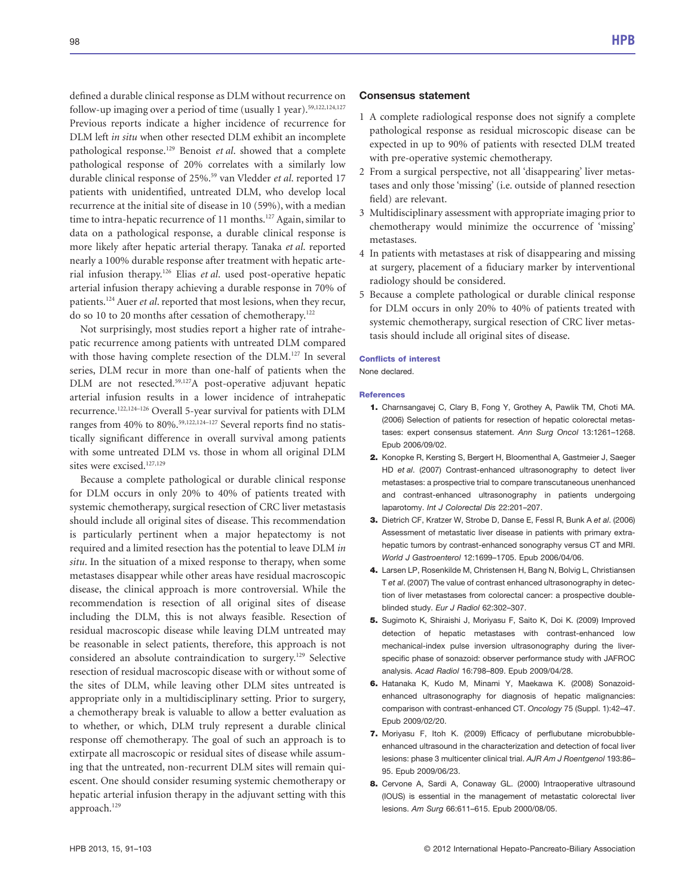defined a durable clinical response as DLM without recurrence on follow-up imaging over a period of time (usually 1 year).<sup>59,122,124,127</sup> Previous reports indicate a higher incidence of recurrence for DLM left *in situ* when other resected DLM exhibit an incomplete pathological response.129 Benoist *et al*. showed that a complete pathological response of 20% correlates with a similarly low durable clinical response of 25%.59 van Vledder *et al*. reported 17 patients with unidentified, untreated DLM, who develop local recurrence at the initial site of disease in 10 (59%), with a median time to intra-hepatic recurrence of 11 months.<sup>127</sup> Again, similar to data on a pathological response, a durable clinical response is more likely after hepatic arterial therapy. Tanaka *et al*. reported nearly a 100% durable response after treatment with hepatic arterial infusion therapy.126 Elias *et al*. used post-operative hepatic arterial infusion therapy achieving a durable response in 70% of patients.124 Auer *et al*. reported that most lesions, when they recur, do so 10 to 20 months after cessation of chemotherapy.<sup>122</sup>

Not surprisingly, most studies report a higher rate of intrahepatic recurrence among patients with untreated DLM compared with those having complete resection of the DLM.<sup>127</sup> In several series, DLM recur in more than one-half of patients when the DLM are not resected.59,127A post-operative adjuvant hepatic arterial infusion results in a lower incidence of intrahepatic recurrence.122,124–126 Overall 5-year survival for patients with DLM ranges from 40% to 80%.59,122,124–127 Several reports find no statistically significant difference in overall survival among patients with some untreated DLM vs. those in whom all original DLM sites were excised.<sup>127,129</sup>

Because a complete pathological or durable clinical response for DLM occurs in only 20% to 40% of patients treated with systemic chemotherapy, surgical resection of CRC liver metastasis should include all original sites of disease. This recommendation is particularly pertinent when a major hepatectomy is not required and a limited resection has the potential to leave DLM *in situ*. In the situation of a mixed response to therapy, when some metastases disappear while other areas have residual macroscopic disease, the clinical approach is more controversial. While the recommendation is resection of all original sites of disease including the DLM, this is not always feasible. Resection of residual macroscopic disease while leaving DLM untreated may be reasonable in select patients, therefore, this approach is not considered an absolute contraindication to surgery.<sup>129</sup> Selective resection of residual macroscopic disease with or without some of the sites of DLM, while leaving other DLM sites untreated is appropriate only in a multidisciplinary setting. Prior to surgery, a chemotherapy break is valuable to allow a better evaluation as to whether, or which, DLM truly represent a durable clinical response off chemotherapy. The goal of such an approach is to extirpate all macroscopic or residual sites of disease while assuming that the untreated, non-recurrent DLM sites will remain quiescent. One should consider resuming systemic chemotherapy or hepatic arterial infusion therapy in the adjuvant setting with this approach.<sup>129</sup>

# Consensus statement

- 1 A complete radiological response does not signify a complete pathological response as residual microscopic disease can be expected in up to 90% of patients with resected DLM treated with pre-operative systemic chemotherapy.
- 2 From a surgical perspective, not all 'disappearing' liver metastases and only those 'missing' (i.e. outside of planned resection field) are relevant.
- 3 Multidisciplinary assessment with appropriate imaging prior to chemotherapy would minimize the occurrence of 'missing' metastases.
- 4 In patients with metastases at risk of disappearing and missing at surgery, placement of a fiduciary marker by interventional radiology should be considered.
- 5 Because a complete pathological or durable clinical response for DLM occurs in only 20% to 40% of patients treated with systemic chemotherapy, surgical resection of CRC liver metastasis should include all original sites of disease.

# Conflicts of interest

None declared.

## References

- 1. Charnsangavej C, Clary B, Fong Y, Grothey A, Pawlik TM, Choti MA. (2006) Selection of patients for resection of hepatic colorectal metastases: expert consensus statement. Ann Surg Oncol 13:1261–1268. Epub 2006/09/02.
- 2. Konopke R, Kersting S, Bergert H, Bloomenthal A, Gastmeier J, Saeger HD et al. (2007) Contrast-enhanced ultrasonography to detect liver metastases: a prospective trial to compare transcutaneous unenhanced and contrast-enhanced ultrasonography in patients undergoing laparotomy. Int J Colorectal Dis 22:201–207.
- 3. Dietrich CF, Kratzer W, Strobe D, Danse E, Fessl R, Bunk A et al. (2006) Assessment of metastatic liver disease in patients with primary extrahepatic tumors by contrast-enhanced sonography versus CT and MRI. World J Gastroenterol 12:1699–1705. Epub 2006/04/06.
- 4. Larsen LP, Rosenkilde M, Christensen H, Bang N, Bolvig L, Christiansen T et al. (2007) The value of contrast enhanced ultrasonography in detection of liver metastases from colorectal cancer: a prospective doubleblinded study. Eur J Radiol 62:302–307.
- 5. Sugimoto K, Shiraishi J, Moriyasu F, Saito K, Doi K. (2009) Improved detection of hepatic metastases with contrast-enhanced low mechanical-index pulse inversion ultrasonography during the liverspecific phase of sonazoid: observer performance study with JAFROC analysis. Acad Radiol 16:798–809. Epub 2009/04/28.
- 6. Hatanaka K, Kudo M, Minami Y, Maekawa K. (2008) Sonazoidenhanced ultrasonography for diagnosis of hepatic malignancies: comparison with contrast-enhanced CT. Oncology 75 (Suppl. 1):42–47. Epub 2009/02/20.
- 7. Moriyasu F, Itoh K. (2009) Efficacy of perflubutane microbubbleenhanced ultrasound in the characterization and detection of focal liver lesions: phase 3 multicenter clinical trial. AJR Am J Roentgenol 193:86– 95. Epub 2009/06/23.
- 8. Cervone A, Sardi A, Conaway GL. (2000) Intraoperative ultrasound (IOUS) is essential in the management of metastatic colorectal liver lesions. Am Surg 66:611–615. Epub 2000/08/05.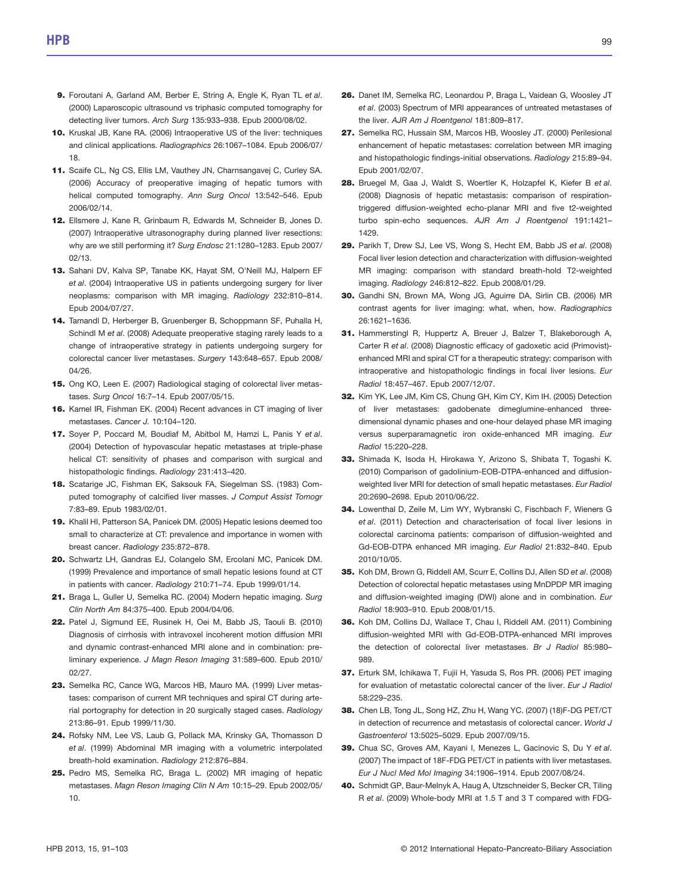- 9. Foroutani A, Garland AM, Berber E, String A, Engle K, Ryan TL et al. (2000) Laparoscopic ultrasound vs triphasic computed tomography for detecting liver tumors. Arch Surg 135:933–938. Epub 2000/08/02.
- 10. Kruskal JB, Kane RA. (2006) Intraoperative US of the liver: techniques and clinical applications. Radiographics 26:1067–1084. Epub 2006/07/ 18.
- 11. Scaife CL, Ng CS, Ellis LM, Vauthey JN, Charnsangavej C, Curley SA. (2006) Accuracy of preoperative imaging of hepatic tumors with helical computed tomography. Ann Surg Oncol 13:542–546. Epub 2006/02/14.
- 12. Ellsmere J, Kane R, Grinbaum R, Edwards M, Schneider B, Jones D. (2007) Intraoperative ultrasonography during planned liver resections: why are we still performing it? Surg Endosc 21:1280–1283. Epub 2007/ 02/13.
- 13. Sahani DV, Kalva SP, Tanabe KK, Hayat SM, O'Neill MJ, Halpern EF et al. (2004) Intraoperative US in patients undergoing surgery for liver neoplasms: comparison with MR imaging. Radiology 232:810–814. Epub 2004/07/27.
- 14. Tamandl D, Herberger B, Gruenberger B, Schoppmann SF, Puhalla H, Schindl M et al. (2008) Adequate preoperative staging rarely leads to a change of intraoperative strategy in patients undergoing surgery for colorectal cancer liver metastases. Surgery 143:648–657. Epub 2008/ 04/26.
- 15. Ong KO, Leen E. (2007) Radiological staging of colorectal liver metastases. Surg Oncol 16:7–14. Epub 2007/05/15.
- 16. Kamel IR, Fishman EK. (2004) Recent advances in CT imaging of liver metastases. Cancer J. 10:104–120.
- 17. Soyer P, Poccard M, Boudiaf M, Abitbol M, Hamzi L, Panis Y et al. (2004) Detection of hypovascular hepatic metastases at triple-phase helical CT: sensitivity of phases and comparison with surgical and histopathologic findings. Radiology 231:413–420.
- 18. Scatarige JC, Fishman EK, Saksouk FA, Siegelman SS. (1983) Computed tomography of calcified liver masses. J Comput Assist Tomogr 7:83–89. Epub 1983/02/01.
- 19. Khalil HI, Patterson SA, Panicek DM. (2005) Hepatic lesions deemed too small to characterize at CT: prevalence and importance in women with breast cancer. Radiology 235:872–878.
- 20. Schwartz LH, Gandras EJ, Colangelo SM, Ercolani MC, Panicek DM. (1999) Prevalence and importance of small hepatic lesions found at CT in patients with cancer. Radiology 210:71–74. Epub 1999/01/14.
- 21. Braga L, Guller U, Semelka RC. (2004) Modern hepatic imaging. Surg Clin North Am 84:375–400. Epub 2004/04/06.
- 22. Patel J, Sigmund EE, Rusinek H, Oei M, Babb JS, Taouli B. (2010) Diagnosis of cirrhosis with intravoxel incoherent motion diffusion MRI and dynamic contrast-enhanced MRI alone and in combination: preliminary experience. J Magn Reson Imaging 31:589–600. Epub 2010/ 02/27.
- 23. Semelka RC, Cance WG, Marcos HB, Mauro MA. (1999) Liver metastases: comparison of current MR techniques and spiral CT during arterial portography for detection in 20 surgically staged cases. Radiology 213:86–91. Epub 1999/11/30.
- 24. Rofsky NM, Lee VS, Laub G, Pollack MA, Krinsky GA, Thomasson D et al. (1999) Abdominal MR imaging with a volumetric interpolated breath-hold examination. Radiology 212:876–884.
- 25. Pedro MS, Semelka RC, Braga L. (2002) MR imaging of hepatic metastases. Magn Reson Imaging Clin N Am 10:15–29. Epub 2002/05/ 10.
- 26. Danet IM, Semelka RC, Leonardou P, Braga L, Vaidean G, Woosley JT et al. (2003) Spectrum of MRI appearances of untreated metastases of the liver. AJR Am J Roentgenol 181:809-817.
- 27. Semelka RC, Hussain SM, Marcos HB, Woosley JT. (2000) Perilesional enhancement of hepatic metastases: correlation between MR imaging and histopathologic findings-initial observations. Radiology 215:89–94. Epub 2001/02/07.
- 28. Bruegel M, Gaa J, Waldt S, Woertler K, Holzapfel K, Kiefer B et al. (2008) Diagnosis of hepatic metastasis: comparison of respirationtriggered diffusion-weighted echo-planar MRI and five t2-weighted turbo spin-echo sequences. AJR Am J Roentgenol 191:1421– 1429.
- 29. Parikh T, Drew SJ, Lee VS, Wong S, Hecht EM, Babb JS et al. (2008) Focal liver lesion detection and characterization with diffusion-weighted MR imaging: comparison with standard breath-hold T2-weighted imaging. Radiology 246:812–822. Epub 2008/01/29.
- 30. Gandhi SN, Brown MA, Wong JG, Aguirre DA, Sirlin CB. (2006) MR contrast agents for liver imaging: what, when, how. Radiographics 26:1621–1636.
- 31. Hammerstingl R, Huppertz A, Breuer J, Balzer T, Blakeborough A, Carter R et al. (2008) Diagnostic efficacy of gadoxetic acid (Primovist) enhanced MRI and spiral CT for a therapeutic strategy: comparison with intraoperative and histopathologic findings in focal liver lesions. Eur Radiol 18:457–467. Epub 2007/12/07.
- 32. Kim YK, Lee JM, Kim CS, Chung GH, Kim CY, Kim IH. (2005) Detection of liver metastases: gadobenate dimeglumine-enhanced threedimensional dynamic phases and one-hour delayed phase MR imaging versus superparamagnetic iron oxide-enhanced MR imaging. Eur Radiol 15:220–228.
- 33. Shimada K, Isoda H, Hirokawa Y, Arizono S, Shibata T, Togashi K. (2010) Comparison of gadolinium-EOB-DTPA-enhanced and diffusionweighted liver MRI for detection of small hepatic metastases. Eur Radiol 20:2690–2698. Epub 2010/06/22.
- 34. Lowenthal D, Zeile M, Lim WY, Wybranski C, Fischbach F, Wieners G et al. (2011) Detection and characterisation of focal liver lesions in colorectal carcinoma patients: comparison of diffusion-weighted and Gd-EOB-DTPA enhanced MR imaging. Eur Radiol 21:832–840. Epub 2010/10/05.
- 35. Koh DM, Brown G, Riddell AM, Scurr E, Collins DJ, Allen SD et al. (2008) Detection of colorectal hepatic metastases using MnDPDP MR imaging and diffusion-weighted imaging (DWI) alone and in combination. Eur Radiol 18:903–910. Epub 2008/01/15.
- 36. Koh DM, Collins DJ, Wallace T, Chau I, Riddell AM. (2011) Combining diffusion-weighted MRI with Gd-EOB-DTPA-enhanced MRI improves the detection of colorectal liver metastases. Br J Radiol 85:980– 989.
- 37. Erturk SM, Ichikawa T, Fujii H, Yasuda S, Ros PR. (2006) PET imaging for evaluation of metastatic colorectal cancer of the liver. Eur J Radiol 58:229–235.
- 38. Chen LB, Tong JL, Song HZ, Zhu H, Wang YC. (2007) (18)F-DG PET/CT in detection of recurrence and metastasis of colorectal cancer. World J Gastroenterol 13:5025–5029. Epub 2007/09/15.
- 39. Chua SC, Groves AM, Kayani I, Menezes L, Gacinovic S, Du Y et al. (2007) The impact of 18F-FDG PET/CT in patients with liver metastases. Eur J Nucl Med Mol Imaging 34:1906–1914. Epub 2007/08/24.
- 40. Schmidt GP, Baur-Melnyk A, Haug A, Utzschneider S, Becker CR, Tiling R et al. (2009) Whole-body MRI at 1.5 T and 3 T compared with FDG-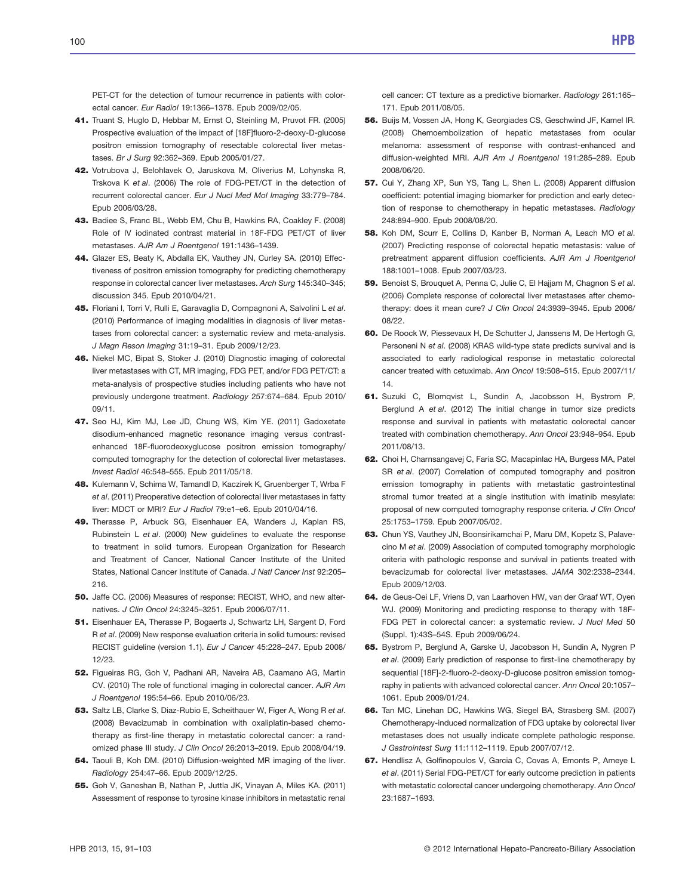PET-CT for the detection of tumour recurrence in patients with colorectal cancer. Eur Radiol 19:1366–1378. Epub 2009/02/05.

- 41. Truant S, Huglo D, Hebbar M, Ernst O, Steinling M, Pruvot FR. (2005) Prospective evaluation of the impact of [18F]fluoro-2-deoxy-D-glucose positron emission tomography of resectable colorectal liver metastases. Br J Surg 92:362–369. Epub 2005/01/27.
- 42. Votrubova J, Belohlavek O, Jaruskova M, Oliverius M, Lohynska R, Trskova K et al. (2006) The role of FDG-PET/CT in the detection of recurrent colorectal cancer. Eur J Nucl Med Mol Imaging 33:779–784. Epub 2006/03/28.
- 43. Badiee S, Franc BL, Webb EM, Chu B, Hawkins RA, Coakley F. (2008) Role of IV iodinated contrast material in 18F-FDG PET/CT of liver metastases. AJR Am J Roentgenol 191:1436–1439.
- 44. Glazer ES, Beaty K, Abdalla EK, Vauthey JN, Curley SA. (2010) Effectiveness of positron emission tomography for predicting chemotherapy response in colorectal cancer liver metastases. Arch Surg 145:340–345; discussion 345. Epub 2010/04/21.
- 45. Floriani I, Torri V, Rulli E, Garavaglia D, Compagnoni A, Salvolini L et al. (2010) Performance of imaging modalities in diagnosis of liver metastases from colorectal cancer: a systematic review and meta-analysis. J Magn Reson Imaging 31:19–31. Epub 2009/12/23.
- 46. Niekel MC, Bipat S, Stoker J. (2010) Diagnostic imaging of colorectal liver metastases with CT, MR imaging, FDG PET, and/or FDG PET/CT: a meta-analysis of prospective studies including patients who have not previously undergone treatment. Radiology 257:674–684. Epub 2010/ 09/11.
- 47. Seo HJ, Kim MJ, Lee JD, Chung WS, Kim YE. (2011) Gadoxetate disodium-enhanced magnetic resonance imaging versus contrastenhanced 18F-fluorodeoxyglucose positron emission tomography/ computed tomography for the detection of colorectal liver metastases. Invest Radiol 46:548–555. Epub 2011/05/18.
- 48. Kulemann V, Schima W, Tamandl D, Kaczirek K, Gruenberger T, Wrba F et al. (2011) Preoperative detection of colorectal liver metastases in fatty liver: MDCT or MRI? Eur J Radiol 79:e1–e6. Epub 2010/04/16.
- 49. Therasse P, Arbuck SG, Eisenhauer EA, Wanders J, Kaplan RS, Rubinstein L et al. (2000) New guidelines to evaluate the response to treatment in solid tumors. European Organization for Research and Treatment of Cancer, National Cancer Institute of the United States, National Cancer Institute of Canada. J Natl Cancer Inst 92:205– 216.
- 50. Jaffe CC. (2006) Measures of response: RECIST, WHO, and new alternatives. J Clin Oncol 24:3245–3251. Epub 2006/07/11.
- 51. Eisenhauer EA, Therasse P, Bogaerts J, Schwartz LH, Sargent D, Ford R et al. (2009) New response evaluation criteria in solid tumours: revised RECIST guideline (version 1.1). Eur J Cancer 45:228–247. Epub 2008/ 12/23.
- 52. Figueiras RG, Goh V, Padhani AR, Naveira AB, Caamano AG, Martin CV. (2010) The role of functional imaging in colorectal cancer. AJR Am J Roentgenol 195:54–66. Epub 2010/06/23.
- 53. Saltz LB, Clarke S, Diaz-Rubio E, Scheithauer W, Figer A, Wong R et al. (2008) Bevacizumab in combination with oxaliplatin-based chemotherapy as first-line therapy in metastatic colorectal cancer: a randomized phase III study. J Clin Oncol 26:2013–2019. Epub 2008/04/19.
- 54. Taouli B, Koh DM. (2010) Diffusion-weighted MR imaging of the liver. Radiology 254:47–66. Epub 2009/12/25.
- 55. Goh V, Ganeshan B, Nathan P, Juttla JK, Vinayan A, Miles KA. (2011) Assessment of response to tyrosine kinase inhibitors in metastatic renal

cell cancer: CT texture as a predictive biomarker. Radiology 261:165– 171. Epub 2011/08/05.

- 56. Buijs M, Vossen JA, Hong K, Georgiades CS, Geschwind JF, Kamel IR. (2008) Chemoembolization of hepatic metastases from ocular melanoma: assessment of response with contrast-enhanced and diffusion-weighted MRI. AJR Am J Roentgenol 191:285-289. Epub 2008/06/20.
- 57. Cui Y, Zhang XP, Sun YS, Tang L, Shen L. (2008) Apparent diffusion coefficient: potential imaging biomarker for prediction and early detection of response to chemotherapy in hepatic metastases. Radiology 248:894–900. Epub 2008/08/20.
- 58. Koh DM, Scurr E, Collins D, Kanber B, Norman A, Leach MO et al. (2007) Predicting response of colorectal hepatic metastasis: value of pretreatment apparent diffusion coefficients. AJR Am J Roentgenol 188:1001–1008. Epub 2007/03/23.
- 59. Benoist S, Brouquet A, Penna C, Julie C, El Hajjam M, Chagnon S et al. (2006) Complete response of colorectal liver metastases after chemotherapy: does it mean cure? J Clin Oncol 24:3939–3945. Epub 2006/ 08/22.
- 60. De Roock W, Piessevaux H, De Schutter J, Janssens M, De Hertogh G, Personeni N et al. (2008) KRAS wild-type state predicts survival and is associated to early radiological response in metastatic colorectal cancer treated with cetuximab. Ann Oncol 19:508–515. Epub 2007/11/ 14.
- 61. Suzuki C, Blomqvist L, Sundin A, Jacobsson H, Bystrom P, Berglund A et al. (2012) The initial change in tumor size predicts response and survival in patients with metastatic colorectal cancer treated with combination chemotherapy. Ann Oncol 23:948–954. Epub 2011/08/13.
- 62. Choi H, Charnsangavej C, Faria SC, Macapinlac HA, Burgess MA, Patel SR et al. (2007) Correlation of computed tomography and positron emission tomography in patients with metastatic gastrointestinal stromal tumor treated at a single institution with imatinib mesylate: proposal of new computed tomography response criteria. J Clin Oncol 25:1753–1759. Epub 2007/05/02.
- 63. Chun YS, Vauthey JN, Boonsirikamchai P, Maru DM, Kopetz S, Palavecino M et al. (2009) Association of computed tomography morphologic criteria with pathologic response and survival in patients treated with bevacizumab for colorectal liver metastases. JAMA 302:2338–2344. Epub 2009/12/03.
- 64. de Geus-Oei LF, Vriens D, van Laarhoven HW, van der Graaf WT, Oyen WJ. (2009) Monitoring and predicting response to therapy with 18F-FDG PET in colorectal cancer: a systematic review. J Nucl Med 50 (Suppl. 1):43S–54S. Epub 2009/06/24.
- 65. Bystrom P, Berglund A, Garske U, Jacobsson H, Sundin A, Nygren P et al. (2009) Early prediction of response to first-line chemotherapy by sequential [18F]-2-fluoro-2-deoxy-D-glucose positron emission tomography in patients with advanced colorectal cancer. Ann Oncol 20:1057– 1061. Epub 2009/01/24.
- 66. Tan MC, Linehan DC, Hawkins WG, Siegel BA, Strasberg SM. (2007) Chemotherapy-induced normalization of FDG uptake by colorectal liver metastases does not usually indicate complete pathologic response. J Gastrointest Surg 11:1112–1119. Epub 2007/07/12.
- 67. Hendlisz A, Golfinopoulos V, Garcia C, Covas A, Emonts P, Ameye L et al. (2011) Serial FDG-PET/CT for early outcome prediction in patients with metastatic colorectal cancer undergoing chemotherapy. Ann Oncol 23:1687–1693.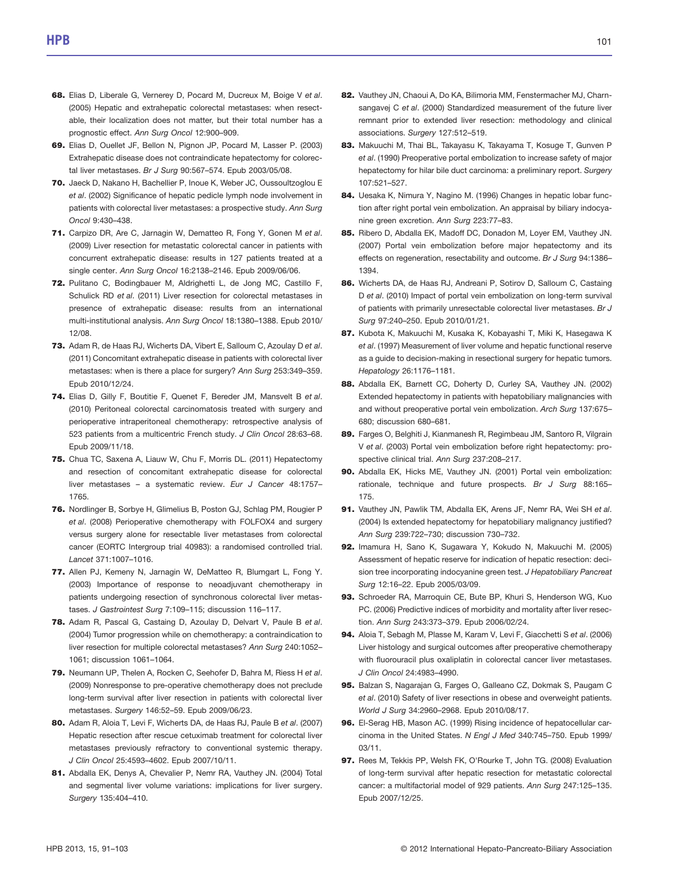- 68. Elias D, Liberale G, Vernerey D, Pocard M, Ducreux M, Boige V et al. (2005) Hepatic and extrahepatic colorectal metastases: when resectable, their localization does not matter, but their total number has a prognostic effect. Ann Surg Oncol 12:900–909.
- 69. Elias D, Ouellet JF, Bellon N, Pignon JP, Pocard M, Lasser P. (2003) Extrahepatic disease does not contraindicate hepatectomy for colorectal liver metastases. Br J Surg 90:567–574. Epub 2003/05/08.
- 70. Jaeck D, Nakano H, Bachellier P, Inoue K, Weber JC, Oussoultzoglou E et al. (2002) Significance of hepatic pedicle lymph node involvement in patients with colorectal liver metastases: a prospective study. Ann Surg Oncol 9:430–438.
- 71. Carpizo DR, Are C, Jarnagin W, Dematteo R, Fong Y, Gonen M et al. (2009) Liver resection for metastatic colorectal cancer in patients with concurrent extrahepatic disease: results in 127 patients treated at a single center. Ann Surg Oncol 16:2138–2146. Epub 2009/06/06.
- 72. Pulitano C, Bodingbauer M, Aldrighetti L, de Jong MC, Castillo F, Schulick RD et al. (2011) Liver resection for colorectal metastases in presence of extrahepatic disease: results from an international multi-institutional analysis. Ann Surg Oncol 18:1380–1388. Epub 2010/ 12/08.
- 73. Adam R, de Haas RJ, Wicherts DA, Vibert E, Salloum C, Azoulay D et al. (2011) Concomitant extrahepatic disease in patients with colorectal liver metastases: when is there a place for surgery? Ann Surg 253:349–359. Epub 2010/12/24.
- 74. Elias D, Gilly F, Boutitie F, Quenet F, Bereder JM, Mansvelt B et al. (2010) Peritoneal colorectal carcinomatosis treated with surgery and perioperative intraperitoneal chemotherapy: retrospective analysis of 523 patients from a multicentric French study. J Clin Oncol 28:63–68. Epub 2009/11/18.
- 75. Chua TC, Saxena A, Liauw W, Chu F, Morris DL. (2011) Hepatectomy and resection of concomitant extrahepatic disease for colorectal liver metastases – a systematic review. Eur J Cancer 48:1757– 1765.
- 76. Nordlinger B, Sorbye H, Glimelius B, Poston GJ, Schlag PM, Rougier P et al. (2008) Perioperative chemotherapy with FOLFOX4 and surgery versus surgery alone for resectable liver metastases from colorectal cancer (EORTC Intergroup trial 40983): a randomised controlled trial. Lancet 371:1007–1016.
- 77. Allen PJ, Kemeny N, Jarnagin W, DeMatteo R, Blumgart L, Fong Y. (2003) Importance of response to neoadjuvant chemotherapy in patients undergoing resection of synchronous colorectal liver metastases. J Gastrointest Surg 7:109–115; discussion 116–117.
- 78. Adam R, Pascal G, Castaing D, Azoulay D, Delvart V, Paule B et al. (2004) Tumor progression while on chemotherapy: a contraindication to liver resection for multiple colorectal metastases? Ann Surg 240:1052– 1061; discussion 1061–1064.
- 79. Neumann UP, Thelen A, Rocken C, Seehofer D, Bahra M, Riess H et al. (2009) Nonresponse to pre-operative chemotherapy does not preclude long-term survival after liver resection in patients with colorectal liver metastases. Surgery 146:52–59. Epub 2009/06/23.
- 80. Adam R, Aloia T, Levi F, Wicherts DA, de Haas RJ, Paule B et al. (2007) Hepatic resection after rescue cetuximab treatment for colorectal liver metastases previously refractory to conventional systemic therapy. J Clin Oncol 25:4593–4602. Epub 2007/10/11.
- 81. Abdalla EK, Denys A, Chevalier P, Nemr RA, Vauthey JN. (2004) Total and segmental liver volume variations: implications for liver surgery. Surgery 135:404–410.
- 82. Vauthey JN, Chaoui A, Do KA, Bilimoria MM, Fenstermacher MJ, Charnsangavej C et al. (2000) Standardized measurement of the future liver remnant prior to extended liver resection: methodology and clinical associations. Surgery 127:512–519.
- 83. Makuuchi M, Thai BL, Takayasu K, Takayama T, Kosuge T, Gunven P et al. (1990) Preoperative portal embolization to increase safety of major hepatectomy for hilar bile duct carcinoma: a preliminary report. Surgery 107:521–527.
- 84. Uesaka K, Nimura Y, Nagino M. (1996) Changes in hepatic lobar function after right portal vein embolization. An appraisal by biliary indocyanine green excretion. Ann Surg 223:77–83.
- 85. Ribero D, Abdalla EK, Madoff DC, Donadon M, Loyer EM, Vauthey JN. (2007) Portal vein embolization before major hepatectomy and its effects on regeneration, resectability and outcome. Br J Surg 94:1386– 1394.
- 86. Wicherts DA, de Haas RJ, Andreani P, Sotirov D, Salloum C, Castaing D et al. (2010) Impact of portal vein embolization on long-term survival of patients with primarily unresectable colorectal liver metastases. Br J Surg 97:240–250. Epub 2010/01/21.
- 87. Kubota K, Makuuchi M, Kusaka K, Kobayashi T, Miki K, Hasegawa K et al. (1997) Measurement of liver volume and hepatic functional reserve as a guide to decision-making in resectional surgery for hepatic tumors. Hepatology 26:1176–1181.
- 88. Abdalla EK, Barnett CC, Doherty D, Curley SA, Vauthey JN. (2002) Extended hepatectomy in patients with hepatobiliary malignancies with and without preoperative portal vein embolization. Arch Surg 137:675– 680; discussion 680–681.
- 89. Farges O, Belghiti J, Kianmanesh R, Regimbeau JM, Santoro R, Vilgrain V et al. (2003) Portal vein embolization before right hepatectomy: prospective clinical trial. Ann Surg 237:208–217.
- 90. Abdalla EK, Hicks ME, Vauthey JN. (2001) Portal vein embolization: rationale, technique and future prospects. Br J Surg 88:165– 175.
- 91. Vauthey JN, Pawlik TM, Abdalla EK, Arens JF, Nemr RA, Wei SH et al. (2004) Is extended hepatectomy for hepatobiliary malignancy justified? Ann Surg 239:722–730; discussion 730–732.
- 92. Imamura H, Sano K, Sugawara Y, Kokudo N, Makuuchi M. (2005) Assessment of hepatic reserve for indication of hepatic resection: decision tree incorporating indocyanine green test. J Hepatobiliary Pancreat Surg 12:16–22. Epub 2005/03/09.
- 93. Schroeder RA, Marroquin CE, Bute BP, Khuri S, Henderson WG, Kuo PC. (2006) Predictive indices of morbidity and mortality after liver resection. Ann Surg 243:373–379. Epub 2006/02/24.
- 94. Aloia T, Sebagh M, Plasse M, Karam V, Levi F, Giacchetti S et al. (2006) Liver histology and surgical outcomes after preoperative chemotherapy with fluorouracil plus oxaliplatin in colorectal cancer liver metastases. J Clin Oncol 24:4983–4990.
- 95. Balzan S, Nagarajan G, Farges O, Galleano CZ, Dokmak S, Paugam C et al. (2010) Safety of liver resections in obese and overweight patients. World J Surg 34:2960–2968. Epub 2010/08/17.
- 96. El-Serag HB, Mason AC. (1999) Rising incidence of hepatocellular carcinoma in the United States. N Engl J Med 340:745–750. Epub 1999/ 03/11.
- 97. Rees M, Tekkis PP, Welsh FK, O'Rourke T, John TG. (2008) Evaluation of long-term survival after hepatic resection for metastatic colorectal cancer: a multifactorial model of 929 patients. Ann Surg 247:125–135. Epub 2007/12/25.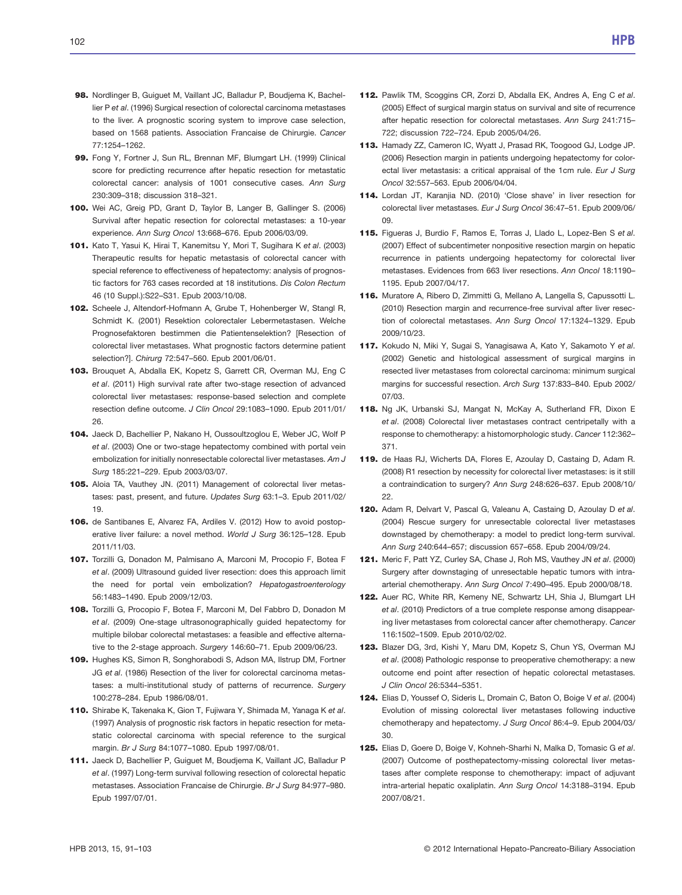- 98. Nordlinger B, Guiguet M, Vaillant JC, Balladur P, Boudjema K, Bachellier P et al. (1996) Surgical resection of colorectal carcinoma metastases to the liver. A prognostic scoring system to improve case selection, based on 1568 patients. Association Francaise de Chirurgie. Cancer 77:1254–1262.
- 99. Fong Y, Fortner J, Sun RL, Brennan MF, Blumgart LH. (1999) Clinical score for predicting recurrence after hepatic resection for metastatic colorectal cancer: analysis of 1001 consecutive cases. Ann Surg 230:309–318; discussion 318–321.
- 100. Wei AC, Greig PD, Grant D, Taylor B, Langer B, Gallinger S. (2006) Survival after hepatic resection for colorectal metastases: a 10-year experience. Ann Surg Oncol 13:668–676. Epub 2006/03/09.
- 101. Kato T, Yasui K, Hirai T, Kanemitsu Y, Mori T, Sugihara K et al. (2003) Therapeutic results for hepatic metastasis of colorectal cancer with special reference to effectiveness of hepatectomy: analysis of prognostic factors for 763 cases recorded at 18 institutions. Dis Colon Rectum 46 (10 Suppl.):S22–S31. Epub 2003/10/08.
- 102. Scheele J, Altendorf-Hofmann A, Grube T, Hohenberger W, Stangl R, Schmidt K. (2001) Resektion colorectaler Lebermetastasen. Welche Prognosefaktoren bestimmen die Patientenselektion? [Resection of colorectal liver metastases. What prognostic factors determine patient selection?]. Chirurg 72:547–560. Epub 2001/06/01.
- 103. Brouquet A, Abdalla EK, Kopetz S, Garrett CR, Overman MJ, Eng C et al. (2011) High survival rate after two-stage resection of advanced colorectal liver metastases: response-based selection and complete resection define outcome. J Clin Oncol 29:1083–1090. Epub 2011/01/ 26.
- 104. Jaeck D, Bachellier P, Nakano H, Oussoultzoglou E, Weber JC, Wolf P et al. (2003) One or two-stage hepatectomy combined with portal vein embolization for initially nonresectable colorectal liver metastases. Am J Surg 185:221–229. Epub 2003/03/07.
- 105. Aloia TA, Vauthey JN. (2011) Management of colorectal liver metastases: past, present, and future. Updates Surg 63:1–3. Epub 2011/02/ 19.
- 106. de Santibanes E, Alvarez FA, Ardiles V. (2012) How to avoid postoperative liver failure: a novel method. World J Surg 36:125-128. Epub 2011/11/03.
- 107. Torzilli G, Donadon M, Palmisano A, Marconi M, Procopio F, Botea F et al. (2009) Ultrasound guided liver resection: does this approach limit the need for portal vein embolization? Hepatogastroenterology 56:1483–1490. Epub 2009/12/03.
- 108. Torzilli G, Procopio F, Botea F, Marconi M, Del Fabbro D, Donadon M et al. (2009) One-stage ultrasonographically guided hepatectomy for multiple bilobar colorectal metastases: a feasible and effective alternative to the 2-stage approach. Surgery 146:60–71. Epub 2009/06/23.
- 109. Hughes KS, Simon R, Songhorabodi S, Adson MA, Ilstrup DM, Fortner JG et al. (1986) Resection of the liver for colorectal carcinoma metastases: a multi-institutional study of patterns of recurrence. Surgery 100:278–284. Epub 1986/08/01.
- 110. Shirabe K, Takenaka K, Gion T, Fujiwara Y, Shimada M, Yanaga K et al. (1997) Analysis of prognostic risk factors in hepatic resection for metastatic colorectal carcinoma with special reference to the surgical margin. Br J Surg 84:1077–1080. Epub 1997/08/01.
- 111. Jaeck D, Bachellier P, Guiguet M, Boudjema K, Vaillant JC, Balladur P et al. (1997) Long-term survival following resection of colorectal hepatic metastases. Association Francaise de Chirurgie. Br J Surg 84:977–980. Epub 1997/07/01.
- 112. Pawlik TM, Scoggins CR, Zorzi D, Abdalla EK, Andres A, Eng C et al. (2005) Effect of surgical margin status on survival and site of recurrence after hepatic resection for colorectal metastases. Ann Surg 241:715– 722; discussion 722–724. Epub 2005/04/26.
- 113. Hamady ZZ, Cameron IC, Wyatt J, Prasad RK, Toogood GJ, Lodge JP. (2006) Resection margin in patients undergoing hepatectomy for colorectal liver metastasis: a critical appraisal of the 1cm rule. Eur J Surg Oncol 32:557–563. Epub 2006/04/04.
- 114. Lordan JT, Karanjia ND. (2010) 'Close shave' in liver resection for colorectal liver metastases. Eur J Surg Oncol 36:47–51. Epub 2009/06/ 09.
- 115. Figueras J, Burdio F, Ramos E, Torras J, Llado L, Lopez-Ben S et al. (2007) Effect of subcentimeter nonpositive resection margin on hepatic recurrence in patients undergoing hepatectomy for colorectal liver metastases. Evidences from 663 liver resections. Ann Oncol 18:1190– 1195. Epub 2007/04/17.
- 116. Muratore A, Ribero D, Zimmitti G, Mellano A, Langella S, Capussotti L. (2010) Resection margin and recurrence-free survival after liver resection of colorectal metastases. Ann Surg Oncol 17:1324–1329. Epub 2009/10/23.
- 117. Kokudo N, Miki Y, Sugai S, Yanagisawa A, Kato Y, Sakamoto Y et al. (2002) Genetic and histological assessment of surgical margins in resected liver metastases from colorectal carcinoma: minimum surgical margins for successful resection. Arch Surg 137:833–840. Epub 2002/ 07/03.
- 118. Ng JK, Urbanski SJ, Mangat N, McKay A, Sutherland FR, Dixon E et al. (2008) Colorectal liver metastases contract centripetally with a response to chemotherapy: a histomorphologic study. Cancer 112:362– 371.
- 119. de Haas RJ, Wicherts DA, Flores E, Azoulay D, Castaing D, Adam R. (2008) R1 resection by necessity for colorectal liver metastases: is it still a contraindication to surgery? Ann Surg 248:626–637. Epub 2008/10/ 22.
- 120. Adam R, Delvart V, Pascal G, Valeanu A, Castaing D, Azoulay D et al. (2004) Rescue surgery for unresectable colorectal liver metastases downstaged by chemotherapy: a model to predict long-term survival. Ann Surg 240:644–657; discussion 657–658. Epub 2004/09/24.
- 121. Meric F, Patt YZ, Curley SA, Chase J, Roh MS, Vauthey JN et al. (2000) Surgery after downstaging of unresectable hepatic tumors with intraarterial chemotherapy. Ann Surg Oncol 7:490–495. Epub 2000/08/18.
- 122. Auer RC, White RR, Kemeny NE, Schwartz LH, Shia J, Blumgart LH et al. (2010) Predictors of a true complete response among disappearing liver metastases from colorectal cancer after chemotherapy. Cancer 116:1502–1509. Epub 2010/02/02.
- 123. Blazer DG, 3rd, Kishi Y, Maru DM, Kopetz S, Chun YS, Overman MJ et al. (2008) Pathologic response to preoperative chemotherapy: a new outcome end point after resection of hepatic colorectal metastases. J Clin Oncol 26:5344–5351.
- 124. Elias D, Youssef O, Sideris L, Dromain C, Baton O, Boige V et al. (2004) Evolution of missing colorectal liver metastases following inductive chemotherapy and hepatectomy. J Surg Oncol 86:4–9. Epub 2004/03/ 30.
- 125. Elias D, Goere D, Boige V, Kohneh-Sharhi N, Malka D, Tomasic G et al. (2007) Outcome of posthepatectomy-missing colorectal liver metastases after complete response to chemotherapy: impact of adjuvant intra-arterial hepatic oxaliplatin. Ann Surg Oncol 14:3188–3194. Epub 2007/08/21.